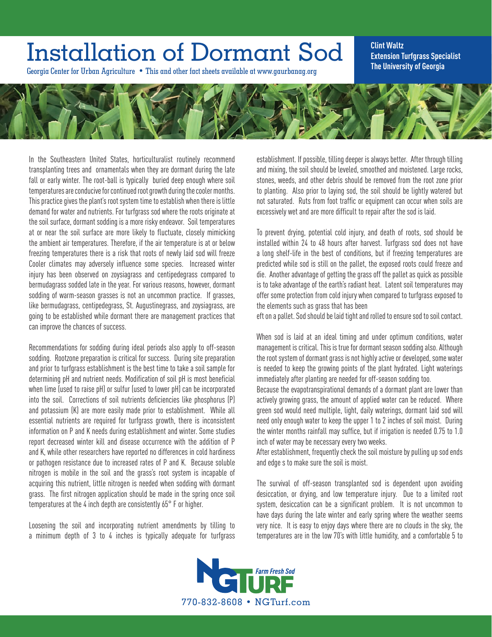## Installation of Dormant Sod

Georgia Center for Urban Agriculture • This and other fact sheets available at www.gaurbanag.org

**Clint Waltz Extension Turfgrass Specialist The University of Georgia** 



In the Southeastern United States, horticulturalist routinely recommend transplanting trees and ornamentals when they are dormant during the late fall or early winter. The root-ball is typically buried deep enough where soil temperatures are conducive for continued root growth during the cooler months. This practice gives the plant's root system time to establish when there is little demand for water and nutrients. For turfgrass sod where the roots originate at the soil surface, dormant sodding is a more risky endeavor. Soil temperatures at or near the soil surface are more likely to fluctuate, closely mimicking the ambient air temperatures. Therefore, if the air temperature is at or below freezing temperatures there is a risk that roots of newly laid sod will freeze Cooler climates may adversely influence some species. Increased winter injury has been observed on zoysiagrass and centipedegrass compared to bermudagrass sodded late in the year. For various reasons, however, dormant sodding of warm-season grasses is not an uncommon practice. If grasses, like bermudagrass, centipedegrass, St. Augustinegrass, and zoysiagrass, are going to be established while dormant there are management practices that can improve the chances of success.

Recommendations for sodding during ideal periods also apply to off-season sodding. Rootzone preparation is critical for success. During site preparation and prior to turfgrass establishment is the best time to take a soil sample for determining pH and nutrient needs. Modification of soil pH is most beneficial when lime (used to raise pH) or sulfur (used to lower pH) can be incorporated into the soil. Corrections of soil nutrients deficiencies like phosphorus (P) and potassium (K) are more easily made prior to establishment. While all essential nutrients are required for turfgrass growth, there is inconsistent information on P and K needs during establishment and winter. Some studies report decreased winter kill and disease occurrence with the addition of P and K, while other researchers have reported no differences in cold hardiness or pathogen resistance due to increased rates of P and K. Because soluble nitrogen is mobile in the soil and the grass's root system is incapable of acquiring this nutrient, little nitrogen is needed when sodding with dormant grass. The first nitrogen application should be made in the spring once soil temperatures at the 4 inch depth are consistently 65° F or higher.

Loosening the soil and incorporating nutrient amendments by tilling to a minimum depth of 3 to 4 inches is typically adequate for turfgrass

establishment. If possible, tilling deeper is always better. After through tilling and mixing, the soil should be leveled, smoothed and moistened. Large rocks, stones, weeds, and other debris should be removed from the root zone prior to planting. Also prior to laying sod, the soil should be lightly watered but not saturated. Ruts from foot traffic or equipment can occur when soils are excessively wet and are more difficult to repair after the sod is laid.

To prevent drying, potential cold injury, and death of roots, sod should be installed within 24 to 48 hours after harvest. Turfgrass sod does not have a long shelf-life in the best of conditions, but if freezing temperatures are predicted while sod is still on the pallet, the exposed roots could freeze and die. Another advantage of getting the grass off the pallet as quick as possible is to take advantage of the earth's radiant heat. Latent soil temperatures may offer some protection from cold injury when compared to turfgrass exposed to the elements such as grass that has been

eft on a pallet. Sod should be laid tight and rolled to ensure sod to soil contact.

When sod is laid at an ideal timing and under optimum conditions, water management is critical. This is true for dormant season sodding also. Although the root system of dormant grass is not highly active or developed, some water is needed to keep the growing points of the plant hydrated. Light waterings immediately after planting are needed for off-season sodding too.

Because the evapotranspirational demands of a dormant plant are lower than actively growing grass, the amount of applied water can be reduced. Where green sod would need multiple, light, daily waterings, dormant laid sod will need only enough water to keep the upper 1 to 2 inches of soil moist. During the winter months rainfall may suffice, but if irrigation is needed 0.75 to 1.0 inch of water may be necessary every two weeks.

After establishment, frequently check the soil moisture by pulling up sod ends and edge s to make sure the soil is moist.

The survival of off-season transplanted sod is dependent upon avoiding desiccation, or drying, and low temperature injury. Due to a limited root system, desiccation can be a significant problem. It is not uncommon to have days during the late winter and early spring where the weather seems very nice. It is easy to enjoy days where there are no clouds in the sky, the temperatures are in the low 70's with little humidity, and a comfortable 5 to